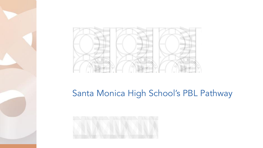

## Santa Monica High School's PBL Pathway

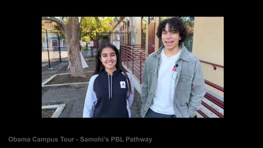

**Obama Campus Tour - Samohi's PBL Pathway**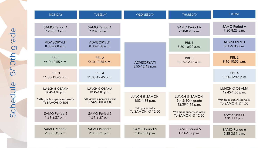| <b>MONDAY</b>                                                                       | <b>TUESDAY</b>                                                                      | <b>WEDNESDAY</b>                   | <b>THURSDAY</b>                                       | <b>FRIDAY</b>                                                                       |
|-------------------------------------------------------------------------------------|-------------------------------------------------------------------------------------|------------------------------------|-------------------------------------------------------|-------------------------------------------------------------------------------------|
| <b>SAMO Period A</b>                                                                | SAMO Period A                                                                       |                                    | SAMO Period A                                         | <b>SAMO Period A</b>                                                                |
| $7:20-8:23$ a.m.                                                                    | $7:20-8:23$ a.m.                                                                    |                                    | 7:20-8:23 a.m.                                        | $7:20-8:23$ a.m.                                                                    |
| <b>ADVISORY/LTI</b>                                                                 | <b>ADVISORY/LTI</b>                                                                 |                                    | PBI <sub>1</sub>                                      | <b>ADVISORY/LTI</b>                                                                 |
| $8:30-9:08$ a.m.                                                                    | $8:30-9:08$ a.m.                                                                    |                                    | $8:30-10:20$ a.m.                                     | $8:30-9:08$ a.m.                                                                    |
| PBI <sub>1</sub>                                                                    | PBI <sub>2</sub>                                                                    | <b>ADVISORY/LTI</b>                | PBL <sub>3</sub>                                      | PBI <sub>2</sub>                                                                    |
| $9:10-10:55$ a.m.                                                                   | $9:10-10:55$ a.m.                                                                   | 8:55-12:45 p.m.                    | $10:25-12:15$ a.m.                                    | $9:10-10:55$ a.m.                                                                   |
| PBL <sub>3</sub><br>11:00-12:45 p.m.                                                | PBI <sub>4</sub><br>11:00-12:45 p.m.                                                |                                    |                                                       | PBL <sub>4</sub><br>11:00-12:45 p.m.                                                |
| LUNCH @ OBAMA<br>12:45-1:05 p.m.<br>*9th grade supervised walks<br>To SAMOHI @ 1:05 | LUNCH @ OBAMA<br>12:45-1:05 p.m.<br>*9th grade supervised walks<br>To SAMOHI @ 1:05 | LUNCH @ SAMOHI<br>$1:03-1:38$ p.m. | LUNCH @ SAMOHI<br>9th & 10th grade<br>12:39-1:14 p.m. | LUNCH @ OBAMA<br>12:45-1:05 p.m.<br>*9th grade supervised walks<br>To SAMOHI @ 1:05 |
| <b>SAMO Period 5</b>                                                                | <b>SAMO Period 5</b>                                                                | *9th grade walks                   | *9th grade supervised walks                           | <b>SAMO Period 5</b>                                                                |
| $1:31-2:27$ p.m.                                                                    | $1:31-2:27$ p.m.                                                                    | To SAMOHI @ 12:50                  | To SAMOHI @ 12:20                                     | 1:31-2:27 p.m.                                                                      |
| <b>SAMO Period 6</b>                                                                | <b>SAMO Period 6</b>                                                                | <b>SAMO Period 6</b>               | <b>SAMO Period 5</b>                                  | SAMO Period 6                                                                       |
| 2:35-3:31 p.m.                                                                      | 2:35-3:31 p.m.                                                                      | 2:35-3:31 p.m.                     | 1:23-2:52 p.m.                                        | 2:35-3:31 p.m.                                                                      |

**COLOR**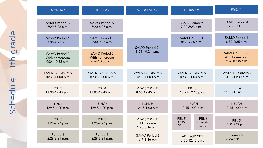| <b>MONDAY</b>                                              | <b>TUESDAY</b>                                             | WEDNESDAY                                           | <b>THURSDAY</b>                           |                               | <b>FRIDAY</b>                                              |
|------------------------------------------------------------|------------------------------------------------------------|-----------------------------------------------------|-------------------------------------------|-------------------------------|------------------------------------------------------------|
| SAMO Period A                                              | SAMO Period A                                              |                                                     | SAMO Period A                             |                               | SAMO Period A                                              |
| 7:20-8:23 a.m.                                             | 7:20-8:23 a.m.                                             |                                                     | 7:20-8:23 a.m.                            |                               | $7:20-8:23$ a.m.                                           |
| <b>SAMO Period 1</b>                                       | <b>SAMO Period 1</b>                                       | <b>SAMO Period 2</b>                                | <b>SAMO Period 1</b>                      |                               | <b>SAMO Period 1</b>                                       |
| 8:30-9:25 a.m.                                             | $8:30-9:25$ a.m.                                           |                                                     | $8:30-9:25$ a.m.                          |                               | $8:30-9:25$ a.m.                                           |
| <b>SAMO Period 2</b><br>With homeroom<br>$9:34-10:38$ a.m. | <b>SAMO Period 2</b><br>With homeroom<br>$9:34-10:38$ a.m. | $8:55-10:24$ a.m.                                   |                                           |                               | <b>SAMO Period 2</b><br>With homeroom<br>$9:34-10:38$ a.m. |
| <b>WALK TO OBAMA</b>                                       | <b>WALK TO OBAMA</b>                                       | <b>WALK TO OBAMA</b>                                | <b>WALK TO OBAMA</b>                      |                               | <b>WALK TO OBAMA</b>                                       |
| 10:38-11:00 p.m.                                           | 10:38-11:00 p.m.                                           | 10:38-11:00 p.m.                                    | 10:38-11:00 p.m.                          |                               | 10:38-11:00 p.m.                                           |
| <b>PBI 3</b>                                               | PBI 4                                                      | <b>ADVISORY/LTI</b>                                 | PBI <sub>3</sub>                          |                               | PBL <sub>4</sub>                                           |
| 11:00-12:45 p.m.                                           | 11:00-12:45 p.m.                                           | 8:55-12:45 p.m.                                     | 10:25-12:15 p.m.                          |                               | 11:00-12:45 p.m.                                           |
| <b>IUNCH</b>                                               | <b>IUNCH</b>                                               | <b>IUNCH</b>                                        | <b>IUNCH</b>                              |                               | <b>IUNCH</b>                                               |
| 12:45-1:00 p.m.                                            | 12:45-1:00 p.m.                                            | 12:45-1:00 p.m.                                     | 12:45-1:00 p.m.                           |                               | 12:45-1:00 p.m.                                            |
| PBL <sub>5</sub><br>1:25-2:27 p.m.                         | PBL <sub>5</sub><br>1:25-2:27 p.m.                         | <b>ADVISORY/LTI</b><br>11th grade<br>1:25-3:16 p.m. | PBL <sub>5</sub><br>$12:55-$<br>1:55 p.m. | PBI 6<br>alternating<br>weeks | PBL <sub>5</sub><br>1:25-2:27 p.m.                         |
| Period 6                                                   | Period 6                                                   | <b>SAMO Period 6</b>                                | <b>ADVISORY/LTI</b>                       |                               | Period 6                                                   |
| 2:29-3:31 p.m.                                             | $2:29-3:31$ p.m.                                           | 1:47-3:16 p.m.                                      | 8:55-12:45 p.m.                           |                               | $2:29-3:31$ p.m.                                           |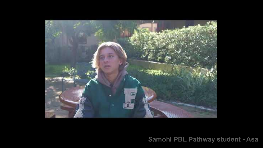

**Samohi PBL Pathway student - Asa**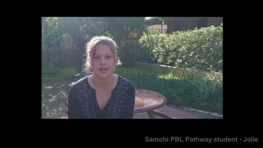

**Samohi PBL Pathway student - Jolie**